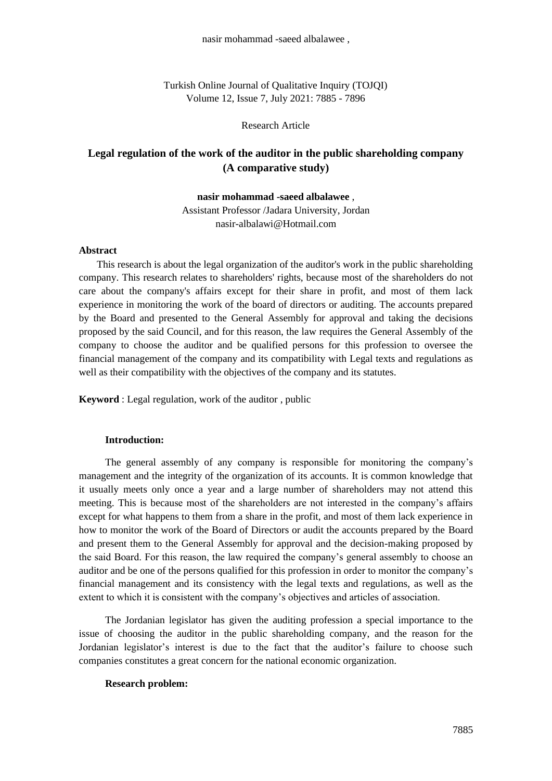Turkish Online Journal of Qualitative Inquiry (TOJQI) Volume 12, Issue 7, July 2021: 7885 - 7896

Research Article

# **Legal regulation of the work of the auditor in the public shareholding company (A comparative study)**

**nasir mohammad -saeed albalawee** ,

Assistant Professor /Jadara University, Jordan nasir-albalawi@Hotmail.com

### **Abstract**

 This research is about the legal organization of the auditor's work in the public shareholding company. This research relates to shareholders' rights, because most of the shareholders do not care about the company's affairs except for their share in profit, and most of them lack experience in monitoring the work of the board of directors or auditing. The accounts prepared by the Board and presented to the General Assembly for approval and taking the decisions proposed by the said Council, and for this reason, the law requires the General Assembly of the company to choose the auditor and be qualified persons for this profession to oversee the financial management of the company and its compatibility with Legal texts and regulations as well as their compatibility with the objectives of the company and its statutes.

**Keyword** : Legal regulation, work of the auditor , public

#### **Introduction:**

The general assembly of any company is responsible for monitoring the company's management and the integrity of the organization of its accounts. It is common knowledge that it usually meets only once a year and a large number of shareholders may not attend this meeting. This is because most of the shareholders are not interested in the company's affairs except for what happens to them from a share in the profit, and most of them lack experience in how to monitor the work of the Board of Directors or audit the accounts prepared by the Board and present them to the General Assembly for approval and the decision-making proposed by the said Board. For this reason, the law required the company's general assembly to choose an auditor and be one of the persons qualified for this profession in order to monitor the company's financial management and its consistency with the legal texts and regulations, as well as the extent to which it is consistent with the company's objectives and articles of association.

The Jordanian legislator has given the auditing profession a special importance to the issue of choosing the auditor in the public shareholding company, and the reason for the Jordanian legislator's interest is due to the fact that the auditor's failure to choose such companies constitutes a great concern for the national economic organization.

#### **Research problem:**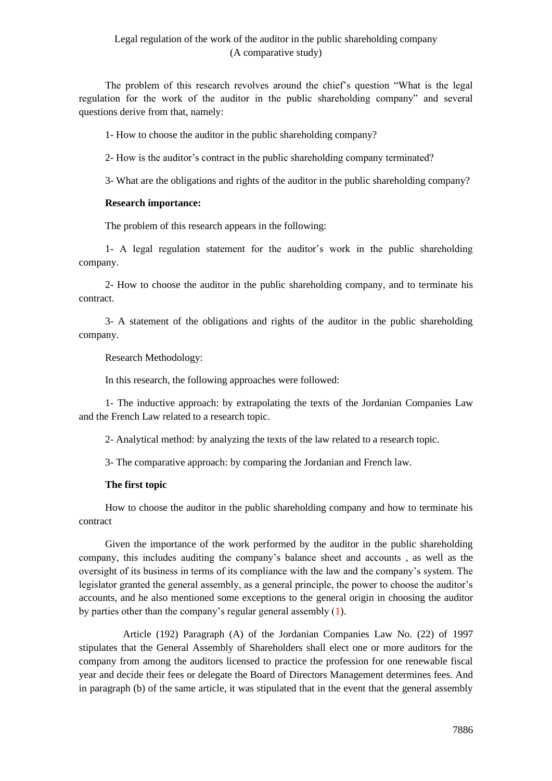The problem of this research revolves around the chief's question "What is the legal regulation for the work of the auditor in the public shareholding company" and several questions derive from that, namely:

1- How to choose the auditor in the public shareholding company?

2- How is the auditor's contract in the public shareholding company terminated?

3- What are the obligations and rights of the auditor in the public shareholding company?

#### **Research importance:**

The problem of this research appears in the following:

1- A legal regulation statement for the auditor's work in the public shareholding company.

2- How to choose the auditor in the public shareholding company, and to terminate his contract.

3- A statement of the obligations and rights of the auditor in the public shareholding company.

Research Methodology:

In this research, the following approaches were followed:

1- The inductive approach: by extrapolating the texts of the Jordanian Companies Law and the French Law related to a research topic.

2- Analytical method: by analyzing the texts of the law related to a research topic.

3- The comparative approach: by comparing the Jordanian and French law.

#### **The first topic**

How to choose the auditor in the public shareholding company and how to terminate his contract

Given the importance of the work performed by the auditor in the public shareholding company, this includes auditing the company's balance sheet and accounts , as well as the oversight of its business in terms of its compliance with the law and the company's system. The legislator granted the general assembly, as a general principle, the power to choose the auditor's accounts, and he also mentioned some exceptions to the general origin in choosing the auditor by parties other than the company's regular general assembly (1).

 Article (192) Paragraph (A) of the Jordanian Companies Law No. (22) of 1997 stipulates that the General Assembly of Shareholders shall elect one or more auditors for the company from among the auditors licensed to practice the profession for one renewable fiscal year and decide their fees or delegate the Board of Directors Management determines fees. And in paragraph (b) of the same article, it was stipulated that in the event that the general assembly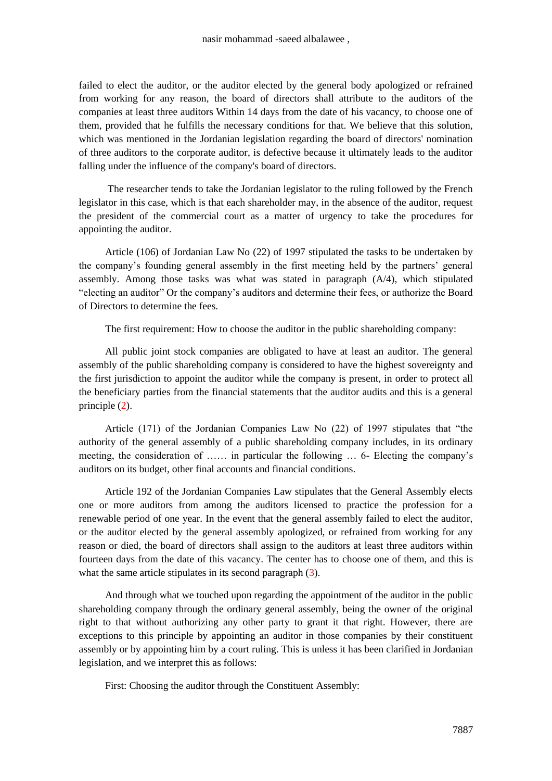failed to elect the auditor, or the auditor elected by the general body apologized or refrained from working for any reason, the board of directors shall attribute to the auditors of the companies at least three auditors Within 14 days from the date of his vacancy, to choose one of them, provided that he fulfills the necessary conditions for that. We believe that this solution, which was mentioned in the Jordanian legislation regarding the board of directors' nomination of three auditors to the corporate auditor, is defective because it ultimately leads to the auditor falling under the influence of the company's board of directors.

The researcher tends to take the Jordanian legislator to the ruling followed by the French legislator in this case, which is that each shareholder may, in the absence of the auditor, request the president of the commercial court as a matter of urgency to take the procedures for appointing the auditor.

Article (106) of Jordanian Law No (22) of 1997 stipulated the tasks to be undertaken by the company's founding general assembly in the first meeting held by the partners' general assembly. Among those tasks was what was stated in paragraph (A/4), which stipulated "electing an auditor" Or the company's auditors and determine their fees, or authorize the Board of Directors to determine the fees.

The first requirement: How to choose the auditor in the public shareholding company:

All public joint stock companies are obligated to have at least an auditor. The general assembly of the public shareholding company is considered to have the highest sovereignty and the first jurisdiction to appoint the auditor while the company is present, in order to protect all the beneficiary parties from the financial statements that the auditor audits and this is a general principle (2).

Article (171) of the Jordanian Companies Law No (22) of 1997 stipulates that "the authority of the general assembly of a public shareholding company includes, in its ordinary meeting, the consideration of …… in particular the following … 6- Electing the company's auditors on its budget, other final accounts and financial conditions.

Article 192 of the Jordanian Companies Law stipulates that the General Assembly elects one or more auditors from among the auditors licensed to practice the profession for a renewable period of one year. In the event that the general assembly failed to elect the auditor, or the auditor elected by the general assembly apologized, or refrained from working for any reason or died, the board of directors shall assign to the auditors at least three auditors within fourteen days from the date of this vacancy. The center has to choose one of them, and this is what the same article stipulates in its second paragraph  $(3)$ .

And through what we touched upon regarding the appointment of the auditor in the public shareholding company through the ordinary general assembly, being the owner of the original right to that without authorizing any other party to grant it that right. However, there are exceptions to this principle by appointing an auditor in those companies by their constituent assembly or by appointing him by a court ruling. This is unless it has been clarified in Jordanian legislation, and we interpret this as follows:

First: Choosing the auditor through the Constituent Assembly: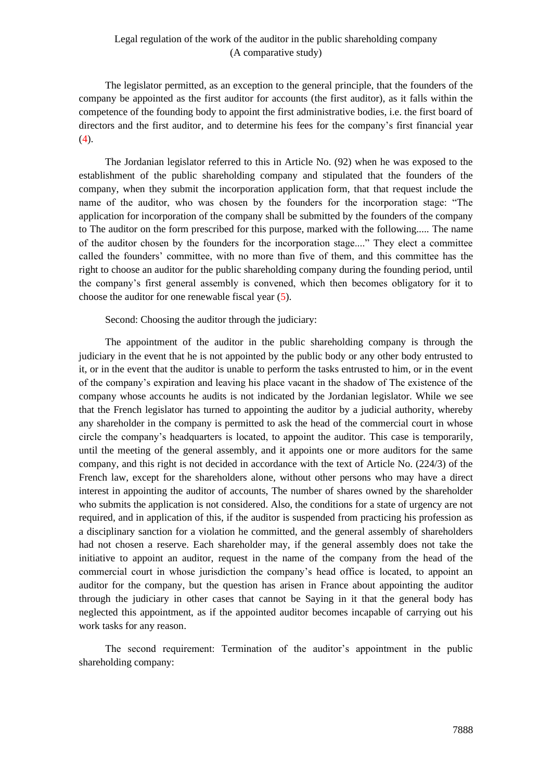The legislator permitted, as an exception to the general principle, that the founders of the company be appointed as the first auditor for accounts (the first auditor), as it falls within the competence of the founding body to appoint the first administrative bodies, i.e. the first board of directors and the first auditor, and to determine his fees for the company's first financial year  $(4).$ 

The Jordanian legislator referred to this in Article No. (92) when he was exposed to the establishment of the public shareholding company and stipulated that the founders of the company, when they submit the incorporation application form, that that request include the name of the auditor, who was chosen by the founders for the incorporation stage: "The application for incorporation of the company shall be submitted by the founders of the company to The auditor on the form prescribed for this purpose, marked with the following..... The name of the auditor chosen by the founders for the incorporation stage...." They elect a committee called the founders' committee, with no more than five of them, and this committee has the right to choose an auditor for the public shareholding company during the founding period, until the company's first general assembly is convened, which then becomes obligatory for it to choose the auditor for one renewable fiscal year (5).

Second: Choosing the auditor through the judiciary:

The appointment of the auditor in the public shareholding company is through the judiciary in the event that he is not appointed by the public body or any other body entrusted to it, or in the event that the auditor is unable to perform the tasks entrusted to him, or in the event of the company's expiration and leaving his place vacant in the shadow of The existence of the company whose accounts he audits is not indicated by the Jordanian legislator. While we see that the French legislator has turned to appointing the auditor by a judicial authority, whereby any shareholder in the company is permitted to ask the head of the commercial court in whose circle the company's headquarters is located, to appoint the auditor. This case is temporarily, until the meeting of the general assembly, and it appoints one or more auditors for the same company, and this right is not decided in accordance with the text of Article No. (224/3) of the French law, except for the shareholders alone, without other persons who may have a direct interest in appointing the auditor of accounts, The number of shares owned by the shareholder who submits the application is not considered. Also, the conditions for a state of urgency are not required, and in application of this, if the auditor is suspended from practicing his profession as a disciplinary sanction for a violation he committed, and the general assembly of shareholders had not chosen a reserve. Each shareholder may, if the general assembly does not take the initiative to appoint an auditor, request in the name of the company from the head of the commercial court in whose jurisdiction the company's head office is located, to appoint an auditor for the company, but the question has arisen in France about appointing the auditor through the judiciary in other cases that cannot be Saying in it that the general body has neglected this appointment, as if the appointed auditor becomes incapable of carrying out his work tasks for any reason.

The second requirement: Termination of the auditor's appointment in the public shareholding company: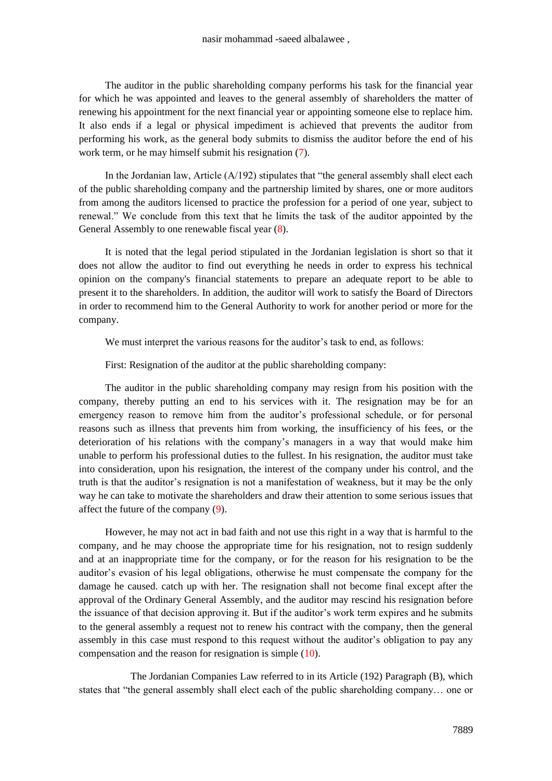The auditor in the public shareholding company performs his task for the financial year for which he was appointed and leaves to the general assembly of shareholders the matter of renewing his appointment for the next financial year or appointing someone else to replace him. It also ends if a legal or physical impediment is achieved that prevents the auditor from performing his work, as the general body submits to dismiss the auditor before the end of his work term, or he may himself submit his resignation  $(7)$ .

In the Jordanian law, Article (A/192) stipulates that "the general assembly shall elect each of the public shareholding company and the partnership limited by shares, one or more auditors from among the auditors licensed to practice the profession for a period of one year, subject to renewal." We conclude from this text that he limits the task of the auditor appointed by the General Assembly to one renewable fiscal year (8).

It is noted that the legal period stipulated in the Jordanian legislation is short so that it does not allow the auditor to find out everything he needs in order to express his technical opinion on the company's financial statements to prepare an adequate report to be able to present it to the shareholders. In addition, the auditor will work to satisfy the Board of Directors in order to recommend him to the General Authority to work for another period or more for the company.

We must interpret the various reasons for the auditor's task to end, as follows:

First: Resignation of the auditor at the public shareholding company:

The auditor in the public shareholding company may resign from his position with the company, thereby putting an end to his services with it. The resignation may be for an emergency reason to remove him from the auditor's professional schedule, or for personal reasons such as illness that prevents him from working, the insufficiency of his fees, or the deterioration of his relations with the company's managers in a way that would make him unable to perform his professional duties to the fullest. In his resignation, the auditor must take into consideration, upon his resignation, the interest of the company under his control, and the truth is that the auditor's resignation is not a manifestation of weakness, but it may be the only way he can take to motivate the shareholders and draw their attention to some serious issues that affect the future of the company (9).

However, he may not act in bad faith and not use this right in a way that is harmful to the company, and he may choose the appropriate time for his resignation, not to resign suddenly and at an inappropriate time for the company, or for the reason for his resignation to be the auditor's evasion of his legal obligations, otherwise he must compensate the company for the damage he caused. catch up with her. The resignation shall not become final except after the approval of the Ordinary General Assembly, and the auditor may rescind his resignation before the issuance of that decision approving it. But if the auditor's work term expires and he submits to the general assembly a request not to renew his contract with the company, then the general assembly in this case must respond to this request without the auditor's obligation to pay any compensation and the reason for resignation is simple (10).

 The Jordanian Companies Law referred to in its Article (192) Paragraph (B), which states that "the general assembly shall elect each of the public shareholding company… one or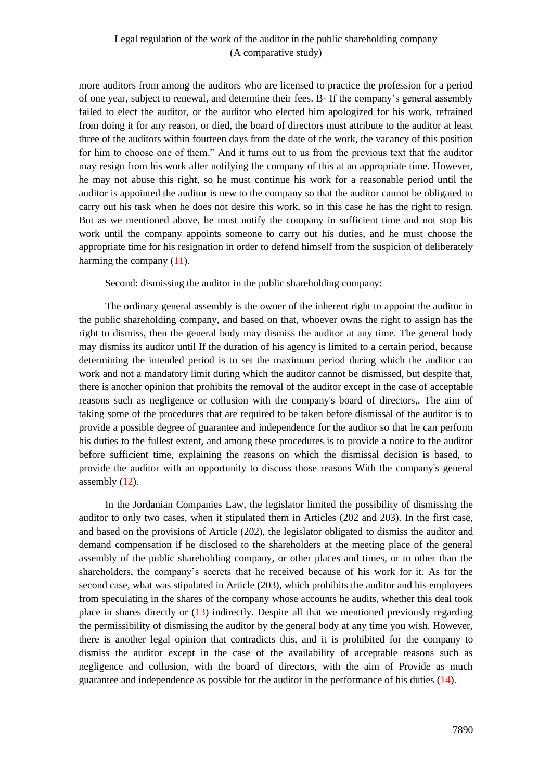more auditors from among the auditors who are licensed to practice the profession for a period of one year, subject to renewal, and determine their fees. B- If the company's general assembly failed to elect the auditor, or the auditor who elected him apologized for his work, refrained from doing it for any reason, or died, the board of directors must attribute to the auditor at least three of the auditors within fourteen days from the date of the work, the vacancy of this position for him to choose one of them." And it turns out to us from the previous text that the auditor may resign from his work after notifying the company of this at an appropriate time. However, he may not abuse this right, so he must continue his work for a reasonable period until the auditor is appointed the auditor is new to the company so that the auditor cannot be obligated to carry out his task when he does not desire this work, so in this case he has the right to resign. But as we mentioned above, he must notify the company in sufficient time and not stop his work until the company appoints someone to carry out his duties, and he must choose the appropriate time for his resignation in order to defend himself from the suspicion of deliberately harming the company  $(11)$ .

Second: dismissing the auditor in the public shareholding company:

The ordinary general assembly is the owner of the inherent right to appoint the auditor in the public shareholding company, and based on that, whoever owns the right to assign has the right to dismiss, then the general body may dismiss the auditor at any time. The general body may dismiss its auditor until If the duration of his agency is limited to a certain period, because determining the intended period is to set the maximum period during which the auditor can work and not a mandatory limit during which the auditor cannot be dismissed, but despite that, there is another opinion that prohibits the removal of the auditor except in the case of acceptable reasons such as negligence or collusion with the company's board of directors,. The aim of taking some of the procedures that are required to be taken before dismissal of the auditor is to provide a possible degree of guarantee and independence for the auditor so that he can perform his duties to the fullest extent, and among these procedures is to provide a notice to the auditor before sufficient time, explaining the reasons on which the dismissal decision is based, to provide the auditor with an opportunity to discuss those reasons With the company's general assembly (12).

In the Jordanian Companies Law, the legislator limited the possibility of dismissing the auditor to only two cases, when it stipulated them in Articles (202 and 203). In the first case, and based on the provisions of Article (202), the legislator obligated to dismiss the auditor and demand compensation if he disclosed to the shareholders at the meeting place of the general assembly of the public shareholding company, or other places and times, or to other than the shareholders, the company's secrets that he received because of his work for it. As for the second case, what was stipulated in Article (203), which prohibits the auditor and his employees from speculating in the shares of the company whose accounts he audits, whether this deal took place in shares directly or (13) indirectly. Despite all that we mentioned previously regarding the permissibility of dismissing the auditor by the general body at any time you wish. However, there is another legal opinion that contradicts this, and it is prohibited for the company to dismiss the auditor except in the case of the availability of acceptable reasons such as negligence and collusion, with the board of directors, with the aim of Provide as much guarantee and independence as possible for the auditor in the performance of his duties (14).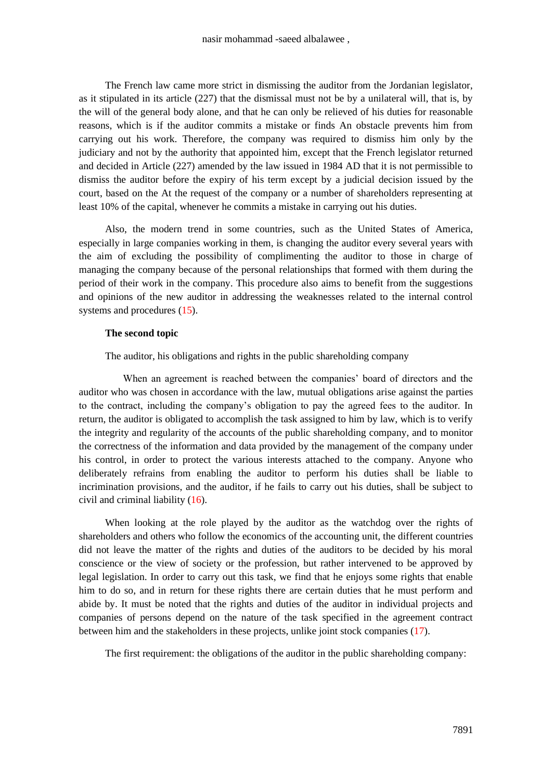The French law came more strict in dismissing the auditor from the Jordanian legislator, as it stipulated in its article (227) that the dismissal must not be by a unilateral will, that is, by the will of the general body alone, and that he can only be relieved of his duties for reasonable reasons, which is if the auditor commits a mistake or finds An obstacle prevents him from carrying out his work. Therefore, the company was required to dismiss him only by the judiciary and not by the authority that appointed him, except that the French legislator returned and decided in Article (227) amended by the law issued in 1984 AD that it is not permissible to dismiss the auditor before the expiry of his term except by a judicial decision issued by the court, based on the At the request of the company or a number of shareholders representing at least 10% of the capital, whenever he commits a mistake in carrying out his duties.

Also, the modern trend in some countries, such as the United States of America, especially in large companies working in them, is changing the auditor every several years with the aim of excluding the possibility of complimenting the auditor to those in charge of managing the company because of the personal relationships that formed with them during the period of their work in the company. This procedure also aims to benefit from the suggestions and opinions of the new auditor in addressing the weaknesses related to the internal control systems and procedures (15).

#### **The second topic**

The auditor, his obligations and rights in the public shareholding company

 When an agreement is reached between the companies' board of directors and the auditor who was chosen in accordance with the law, mutual obligations arise against the parties to the contract, including the company's obligation to pay the agreed fees to the auditor. In return, the auditor is obligated to accomplish the task assigned to him by law, which is to verify the integrity and regularity of the accounts of the public shareholding company, and to monitor the correctness of the information and data provided by the management of the company under his control, in order to protect the various interests attached to the company. Anyone who deliberately refrains from enabling the auditor to perform his duties shall be liable to incrimination provisions, and the auditor, if he fails to carry out his duties, shall be subject to civil and criminal liability (16).

When looking at the role played by the auditor as the watchdog over the rights of shareholders and others who follow the economics of the accounting unit, the different countries did not leave the matter of the rights and duties of the auditors to be decided by his moral conscience or the view of society or the profession, but rather intervened to be approved by legal legislation. In order to carry out this task, we find that he enjoys some rights that enable him to do so, and in return for these rights there are certain duties that he must perform and abide by. It must be noted that the rights and duties of the auditor in individual projects and companies of persons depend on the nature of the task specified in the agreement contract between him and the stakeholders in these projects, unlike joint stock companies (17).

The first requirement: the obligations of the auditor in the public shareholding company: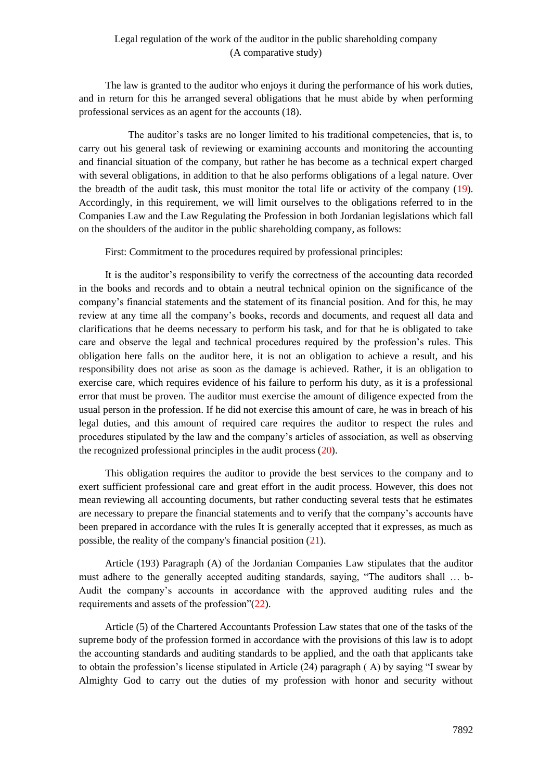The law is granted to the auditor who enjoys it during the performance of his work duties, and in return for this he arranged several obligations that he must abide by when performing professional services as an agent for the accounts (18).

 The auditor's tasks are no longer limited to his traditional competencies, that is, to carry out his general task of reviewing or examining accounts and monitoring the accounting and financial situation of the company, but rather he has become as a technical expert charged with several obligations, in addition to that he also performs obligations of a legal nature. Over the breadth of the audit task, this must monitor the total life or activity of the company (19). Accordingly, in this requirement, we will limit ourselves to the obligations referred to in the Companies Law and the Law Regulating the Profession in both Jordanian legislations which fall on the shoulders of the auditor in the public shareholding company, as follows:

First: Commitment to the procedures required by professional principles:

It is the auditor's responsibility to verify the correctness of the accounting data recorded in the books and records and to obtain a neutral technical opinion on the significance of the company's financial statements and the statement of its financial position. And for this, he may review at any time all the company's books, records and documents, and request all data and clarifications that he deems necessary to perform his task, and for that he is obligated to take care and observe the legal and technical procedures required by the profession's rules. This obligation here falls on the auditor here, it is not an obligation to achieve a result, and his responsibility does not arise as soon as the damage is achieved. Rather, it is an obligation to exercise care, which requires evidence of his failure to perform his duty, as it is a professional error that must be proven. The auditor must exercise the amount of diligence expected from the usual person in the profession. If he did not exercise this amount of care, he was in breach of his legal duties, and this amount of required care requires the auditor to respect the rules and procedures stipulated by the law and the company's articles of association, as well as observing the recognized professional principles in the audit process (20).

This obligation requires the auditor to provide the best services to the company and to exert sufficient professional care and great effort in the audit process. However, this does not mean reviewing all accounting documents, but rather conducting several tests that he estimates are necessary to prepare the financial statements and to verify that the company's accounts have been prepared in accordance with the rules It is generally accepted that it expresses, as much as possible, the reality of the company's financial position (21).

Article (193) Paragraph (A) of the Jordanian Companies Law stipulates that the auditor must adhere to the generally accepted auditing standards, saying, "The auditors shall … b-Audit the company's accounts in accordance with the approved auditing rules and the requirements and assets of the profession"(22).

Article (5) of the Chartered Accountants Profession Law states that one of the tasks of the supreme body of the profession formed in accordance with the provisions of this law is to adopt the accounting standards and auditing standards to be applied, and the oath that applicants take to obtain the profession's license stipulated in Article (24) paragraph ( A) by saying "I swear by Almighty God to carry out the duties of my profession with honor and security without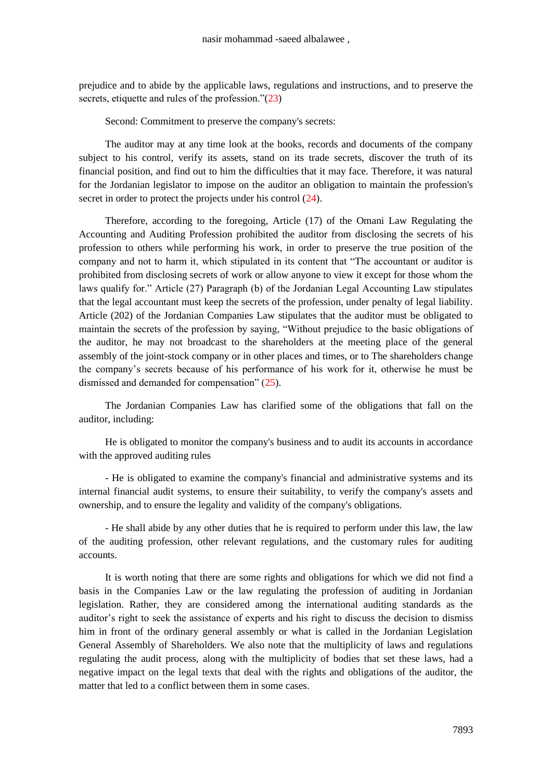prejudice and to abide by the applicable laws, regulations and instructions, and to preserve the secrets, etiquette and rules of the profession."(23)

Second: Commitment to preserve the company's secrets:

The auditor may at any time look at the books, records and documents of the company subject to his control, verify its assets, stand on its trade secrets, discover the truth of its financial position, and find out to him the difficulties that it may face. Therefore, it was natural for the Jordanian legislator to impose on the auditor an obligation to maintain the profession's secret in order to protect the projects under his control  $(24)$ .

Therefore, according to the foregoing, Article (17) of the Omani Law Regulating the Accounting and Auditing Profession prohibited the auditor from disclosing the secrets of his profession to others while performing his work, in order to preserve the true position of the company and not to harm it, which stipulated in its content that "The accountant or auditor is prohibited from disclosing secrets of work or allow anyone to view it except for those whom the laws qualify for." Article (27) Paragraph (b) of the Jordanian Legal Accounting Law stipulates that the legal accountant must keep the secrets of the profession, under penalty of legal liability. Article (202) of the Jordanian Companies Law stipulates that the auditor must be obligated to maintain the secrets of the profession by saying, "Without prejudice to the basic obligations of the auditor, he may not broadcast to the shareholders at the meeting place of the general assembly of the joint-stock company or in other places and times, or to The shareholders change the company's secrets because of his performance of his work for it, otherwise he must be dismissed and demanded for compensation" (25).

The Jordanian Companies Law has clarified some of the obligations that fall on the auditor, including:

He is obligated to monitor the company's business and to audit its accounts in accordance with the approved auditing rules

- He is obligated to examine the company's financial and administrative systems and its internal financial audit systems, to ensure their suitability, to verify the company's assets and ownership, and to ensure the legality and validity of the company's obligations.

- He shall abide by any other duties that he is required to perform under this law, the law of the auditing profession, other relevant regulations, and the customary rules for auditing accounts.

It is worth noting that there are some rights and obligations for which we did not find a basis in the Companies Law or the law regulating the profession of auditing in Jordanian legislation. Rather, they are considered among the international auditing standards as the auditor's right to seek the assistance of experts and his right to discuss the decision to dismiss him in front of the ordinary general assembly or what is called in the Jordanian Legislation General Assembly of Shareholders. We also note that the multiplicity of laws and regulations regulating the audit process, along with the multiplicity of bodies that set these laws, had a negative impact on the legal texts that deal with the rights and obligations of the auditor, the matter that led to a conflict between them in some cases.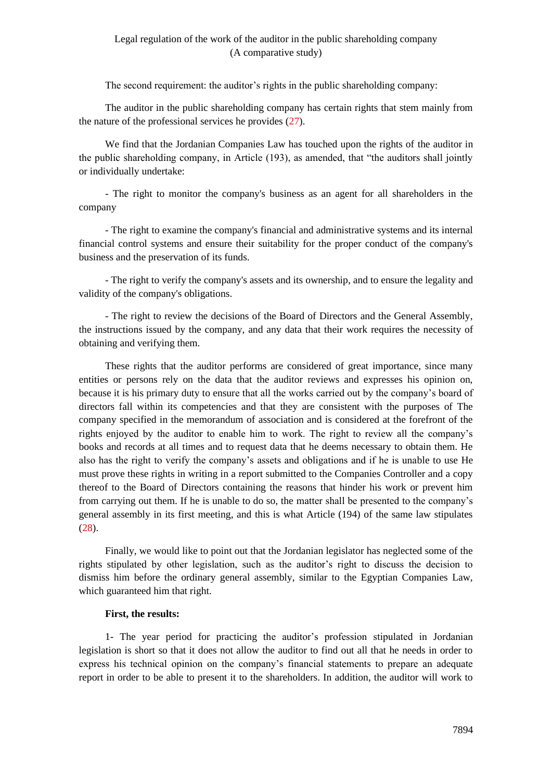The second requirement: the auditor's rights in the public shareholding company:

The auditor in the public shareholding company has certain rights that stem mainly from the nature of the professional services he provides (27).

We find that the Jordanian Companies Law has touched upon the rights of the auditor in the public shareholding company, in Article (193), as amended, that "the auditors shall jointly or individually undertake:

- The right to monitor the company's business as an agent for all shareholders in the company

- The right to examine the company's financial and administrative systems and its internal financial control systems and ensure their suitability for the proper conduct of the company's business and the preservation of its funds.

- The right to verify the company's assets and its ownership, and to ensure the legality and validity of the company's obligations.

- The right to review the decisions of the Board of Directors and the General Assembly, the instructions issued by the company, and any data that their work requires the necessity of obtaining and verifying them.

These rights that the auditor performs are considered of great importance, since many entities or persons rely on the data that the auditor reviews and expresses his opinion on, because it is his primary duty to ensure that all the works carried out by the company's board of directors fall within its competencies and that they are consistent with the purposes of The company specified in the memorandum of association and is considered at the forefront of the rights enjoyed by the auditor to enable him to work. The right to review all the company's books and records at all times and to request data that he deems necessary to obtain them. He also has the right to verify the company's assets and obligations and if he is unable to use He must prove these rights in writing in a report submitted to the Companies Controller and a copy thereof to the Board of Directors containing the reasons that hinder his work or prevent him from carrying out them. If he is unable to do so, the matter shall be presented to the company's general assembly in its first meeting, and this is what Article (194) of the same law stipulates  $(28)$ .

Finally, we would like to point out that the Jordanian legislator has neglected some of the rights stipulated by other legislation, such as the auditor's right to discuss the decision to dismiss him before the ordinary general assembly, similar to the Egyptian Companies Law, which guaranteed him that right.

### **First, the results:**

1- The year period for practicing the auditor's profession stipulated in Jordanian legislation is short so that it does not allow the auditor to find out all that he needs in order to express his technical opinion on the company's financial statements to prepare an adequate report in order to be able to present it to the shareholders. In addition, the auditor will work to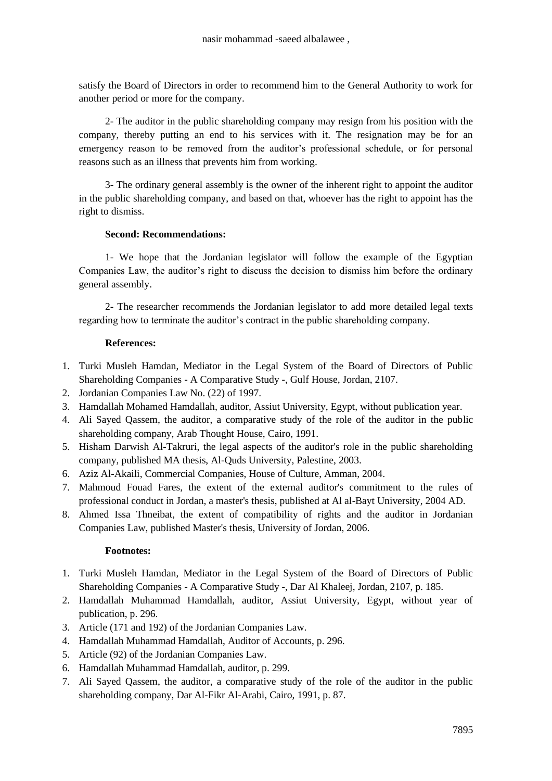satisfy the Board of Directors in order to recommend him to the General Authority to work for another period or more for the company.

2- The auditor in the public shareholding company may resign from his position with the company, thereby putting an end to his services with it. The resignation may be for an emergency reason to be removed from the auditor's professional schedule, or for personal reasons such as an illness that prevents him from working.

3- The ordinary general assembly is the owner of the inherent right to appoint the auditor in the public shareholding company, and based on that, whoever has the right to appoint has the right to dismiss.

## **Second: Recommendations:**

1- We hope that the Jordanian legislator will follow the example of the Egyptian Companies Law, the auditor's right to discuss the decision to dismiss him before the ordinary general assembly.

2- The researcher recommends the Jordanian legislator to add more detailed legal texts regarding how to terminate the auditor's contract in the public shareholding company.

### **References:**

- 1. Turki Musleh Hamdan, Mediator in the Legal System of the Board of Directors of Public Shareholding Companies - A Comparative Study -, Gulf House, Jordan, 2107.
- 2. Jordanian Companies Law No. (22) of 1997.
- 3. Hamdallah Mohamed Hamdallah, auditor, Assiut University, Egypt, without publication year.
- 4. Ali Sayed Qassem, the auditor, a comparative study of the role of the auditor in the public shareholding company, Arab Thought House, Cairo, 1991.
- 5. Hisham Darwish Al-Takruri, the legal aspects of the auditor's role in the public shareholding company, published MA thesis, Al-Quds University, Palestine, 2003.
- 6. Aziz Al-Akaili, Commercial Companies, House of Culture, Amman, 2004.
- 7. Mahmoud Fouad Fares, the extent of the external auditor's commitment to the rules of professional conduct in Jordan, a master's thesis, published at Al al-Bayt University, 2004 AD.
- 8. Ahmed Issa Thneibat, the extent of compatibility of rights and the auditor in Jordanian Companies Law, published Master's thesis, University of Jordan, 2006.

## **Footnotes:**

- 1. Turki Musleh Hamdan, Mediator in the Legal System of the Board of Directors of Public Shareholding Companies - A Comparative Study -, Dar Al Khaleej, Jordan, 2107, p. 185.
- 2. Hamdallah Muhammad Hamdallah, auditor, Assiut University, Egypt, without year of publication, p. 296.
- 3. Article (171 and 192) of the Jordanian Companies Law.
- 4. Hamdallah Muhammad Hamdallah, Auditor of Accounts, p. 296.
- 5. Article (92) of the Jordanian Companies Law.
- 6. Hamdallah Muhammad Hamdallah, auditor, p. 299.
- 7. Ali Sayed Qassem, the auditor, a comparative study of the role of the auditor in the public shareholding company, Dar Al-Fikr Al-Arabi, Cairo, 1991, p. 87.